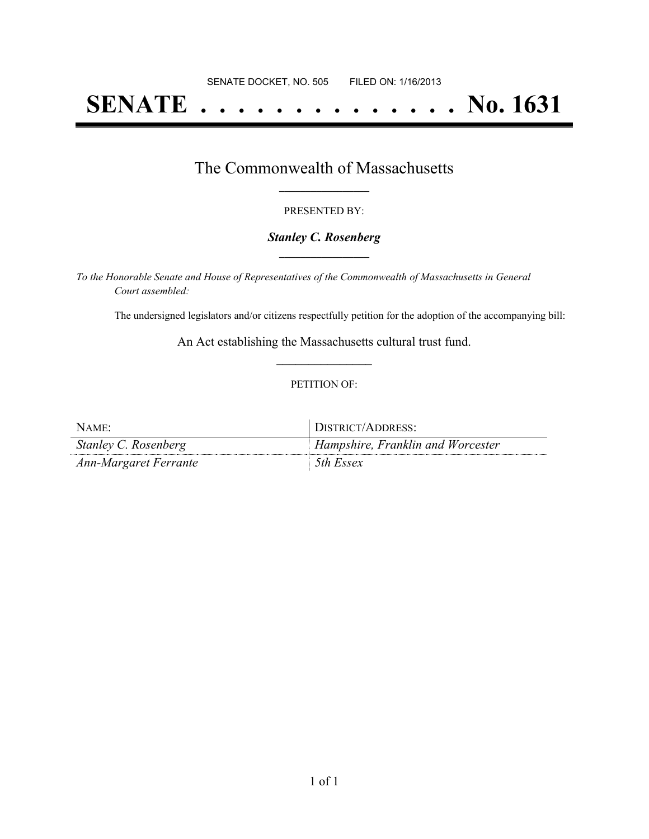# **SENATE . . . . . . . . . . . . . . No. 1631**

## The Commonwealth of Massachusetts **\_\_\_\_\_\_\_\_\_\_\_\_\_\_\_\_\_**

#### PRESENTED BY:

#### *Stanley C. Rosenberg* **\_\_\_\_\_\_\_\_\_\_\_\_\_\_\_\_\_**

*To the Honorable Senate and House of Representatives of the Commonwealth of Massachusetts in General Court assembled:*

The undersigned legislators and/or citizens respectfully petition for the adoption of the accompanying bill:

An Act establishing the Massachusetts cultural trust fund. **\_\_\_\_\_\_\_\_\_\_\_\_\_\_\_**

#### PETITION OF:

| NAME:                 | DISTRICT/ADDRESS:                        |
|-----------------------|------------------------------------------|
| Stanley C. Rosenberg  | <b>Hampshire, Franklin and Worcester</b> |
| Ann-Margaret Ferrante | 5th Essex                                |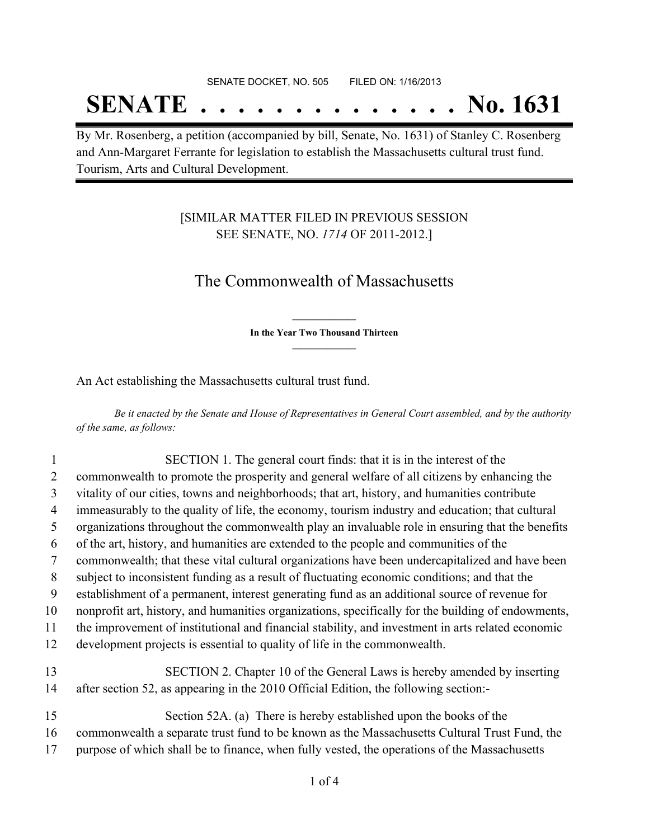## **SENATE . . . . . . . . . . . . . . No. 1631**

By Mr. Rosenberg, a petition (accompanied by bill, Senate, No. 1631) of Stanley C. Rosenberg and Ann-Margaret Ferrante for legislation to establish the Massachusetts cultural trust fund. Tourism, Arts and Cultural Development.

### [SIMILAR MATTER FILED IN PREVIOUS SESSION SEE SENATE, NO. *1714* OF 2011-2012.]

## The Commonwealth of Massachusetts

**\_\_\_\_\_\_\_\_\_\_\_\_\_\_\_ In the Year Two Thousand Thirteen \_\_\_\_\_\_\_\_\_\_\_\_\_\_\_**

An Act establishing the Massachusetts cultural trust fund.

Be it enacted by the Senate and House of Representatives in General Court assembled, and by the authority *of the same, as follows:*

| 1  | SECTION 1. The general court finds: that it is in the interest of the                              |
|----|----------------------------------------------------------------------------------------------------|
| 2  | commonwealth to promote the prosperity and general welfare of all citizens by enhancing the        |
| 3  | vitality of our cities, towns and neighborhoods; that art, history, and humanities contribute      |
| 4  | immeasurably to the quality of life, the economy, tourism industry and education; that cultural    |
| 5  | organizations throughout the commonwealth play an invaluable role in ensuring that the benefits    |
| 6  | of the art, history, and humanities are extended to the people and communities of the              |
| 7  | commonwealth; that these vital cultural organizations have been undercapitalized and have been     |
| 8  | subject to inconsistent funding as a result of fluctuating economic conditions; and that the       |
| 9  | establishment of a permanent, interest generating fund as an additional source of revenue for      |
| 10 | nonprofit art, history, and humanities organizations, specifically for the building of endowments, |
| 11 | the improvement of institutional and financial stability, and investment in arts related economic  |
| 12 | development projects is essential to quality of life in the commonwealth.                          |
| 13 | SECTION 2. Chapter 10 of the General Laws is hereby amended by inserting                           |
| 14 | after section 52, as appearing in the 2010 Official Edition, the following section:-               |
| 15 | Section 52A. (a) There is hereby established upon the books of the                                 |
| 16 | commonwealth a separate trust fund to be known as the Massachusetts Cultural Trust Fund, the       |
| 17 | purpose of which shall be to finance, when fully vested, the operations of the Massachusetts       |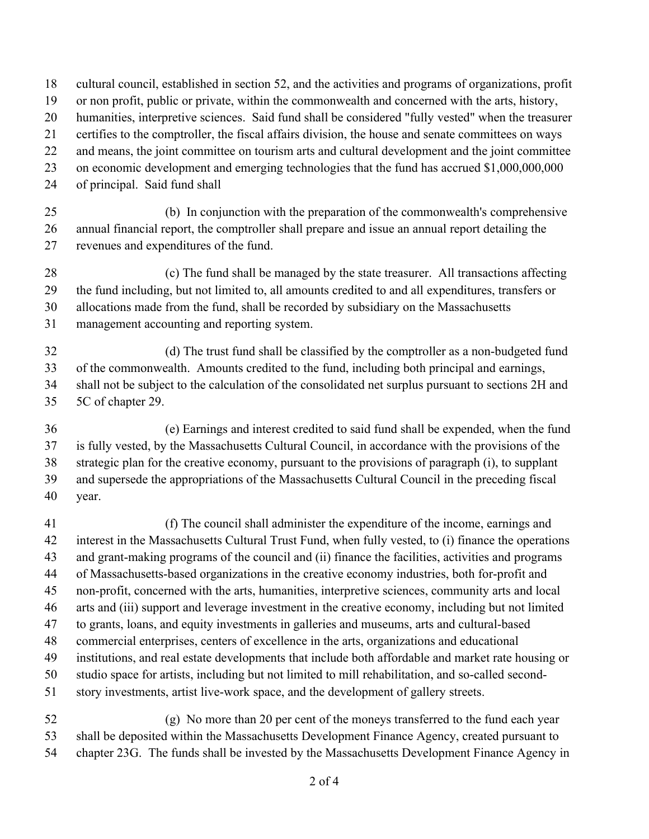cultural council, established in section 52, and the activities and programs of organizations, profit or non profit, public or private, within the commonwealth and concerned with the arts, history, humanities, interpretive sciences. Said fund shall be considered "fully vested" when the treasurer certifies to the comptroller, the fiscal affairs division, the house and senate committees on ways and means, the joint committee on tourism arts and cultural development and the joint committee on economic development and emerging technologies that the fund has accrued \$1,000,000,000 of principal. Said fund shall 25 (b) In conjunction with the preparation of the commonwealth's comprehensive annual financial report, the comptroller shall prepare and issue an annual report detailing the revenues and expenditures of the fund. 28 (c) The fund shall be managed by the state treasurer. All transactions affecting the fund including, but not limited to, all amounts credited to and all expenditures, transfers or allocations made from the fund, shall be recorded by subsidiary on the Massachusetts management accounting and reporting system. 32 (d) The trust fund shall be classified by the comptroller as a non-budgeted fund of the commonwealth. Amounts credited to the fund, including both principal and earnings, shall not be subject to the calculation of the consolidated net surplus pursuant to sections 2H and 5C of chapter 29. 36 (e) Earnings and interest credited to said fund shall be expended, when the fund is fully vested, by the Massachusetts Cultural Council, in accordance with the provisions of the strategic plan for the creative economy, pursuant to the provisions of paragraph (i), to supplant and supersede the appropriations of the Massachusetts Cultural Council in the preceding fiscal year. 41 (f) The council shall administer the expenditure of the income, earnings and interest in the Massachusetts Cultural Trust Fund, when fully vested, to (i) finance the operations and grant-making programs of the council and (ii) finance the facilities, activities and programs of Massachusetts-based organizations in the creative economy industries, both for-profit and non-profit, concerned with the arts, humanities, interpretive sciences, community arts and local arts and (iii) support and leverage investment in the creative economy, including but not limited to grants, loans, and equity investments in galleries and museums, arts and cultural-based commercial enterprises, centers of excellence in the arts, organizations and educational institutions, and real estate developments that include both affordable and market rate housing or studio space for artists, including but not limited to mill rehabilitation, and so-called second-story investments, artist live-work space, and the development of gallery streets.

52 (g) No more than 20 per cent of the moneys transferred to the fund each year shall be deposited within the Massachusetts Development Finance Agency, created pursuant to chapter 23G. The funds shall be invested by the Massachusetts Development Finance Agency in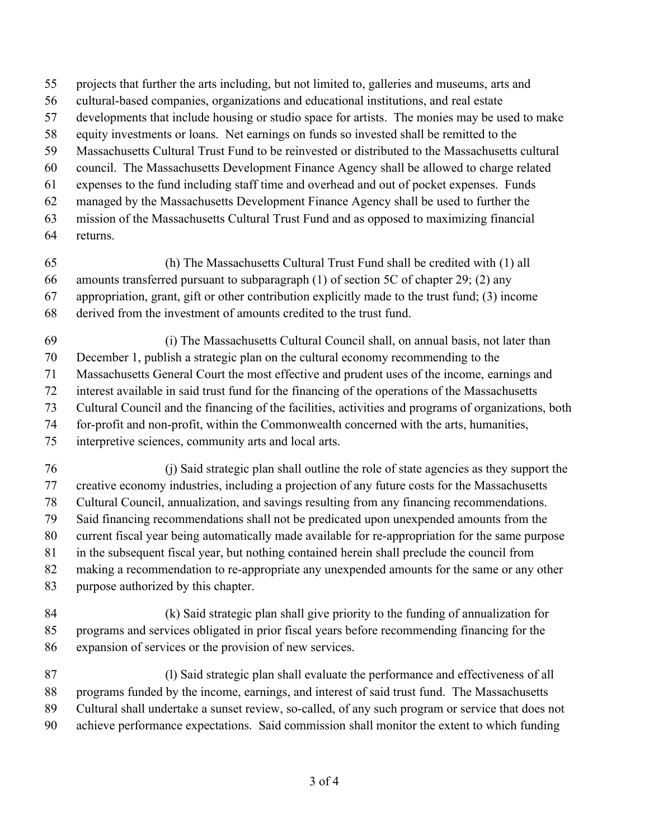- projects that further the arts including, but not limited to, galleries and museums, arts and
- cultural-based companies, organizations and educational institutions, and real estate
- developments that include housing or studio space for artists. The monies may be used to make
- equity investments or loans. Net earnings on funds so invested shall be remitted to the
- Massachusetts Cultural Trust Fund to be reinvested or distributed to the Massachusetts cultural
- council. The Massachusetts Development Finance Agency shall be allowed to charge related
- expenses to the fund including staff time and overhead and out of pocket expenses. Funds
- managed by the Massachusetts Development Finance Agency shall be used to further the
- mission of the Massachusetts Cultural Trust Fund and as opposed to maximizing financial
- returns.
- 65 (h) The Massachusetts Cultural Trust Fund shall be credited with (1) all
- amounts transferred pursuant to subparagraph (1) of section 5C of chapter 29; (2) any
- appropriation, grant, gift or other contribution explicitly made to the trust fund; (3) income
- derived from the investment of amounts credited to the trust fund.
- 69 (i) The Massachusetts Cultural Council shall, on annual basis, not later than
- December 1, publish a strategic plan on the cultural economy recommending to the
- Massachusetts General Court the most effective and prudent uses of the income, earnings and
- interest available in said trust fund for the financing of the operations of the Massachusetts
- Cultural Council and the financing of the facilities, activities and programs of organizations, both
- for-profit and non-profit, within the Commonwealth concerned with the arts, humanities,
- interpretive sciences, community arts and local arts.
- 76 (j) Said strategic plan shall outline the role of state agencies as they support the creative economy industries, including a projection of any future costs for the Massachusetts Cultural Council, annualization, and savings resulting from any financing recommendations. Said financing recommendations shall not be predicated upon unexpended amounts from the current fiscal year being automatically made available for re-appropriation for the same purpose in the subsequent fiscal year, but nothing contained herein shall preclude the council from
- making a recommendation to re-appropriate any unexpended amounts for the same or any other
- purpose authorized by this chapter.
- 84 (k) Said strategic plan shall give priority to the funding of annualization for programs and services obligated in prior fiscal years before recommending financing for the expansion of services or the provision of new services.
- 87 (l) Said strategic plan shall evaluate the performance and effectiveness of all programs funded by the income, earnings, and interest of said trust fund. The Massachusetts Cultural shall undertake a sunset review, so-called, of any such program or service that does not achieve performance expectations. Said commission shall monitor the extent to which funding